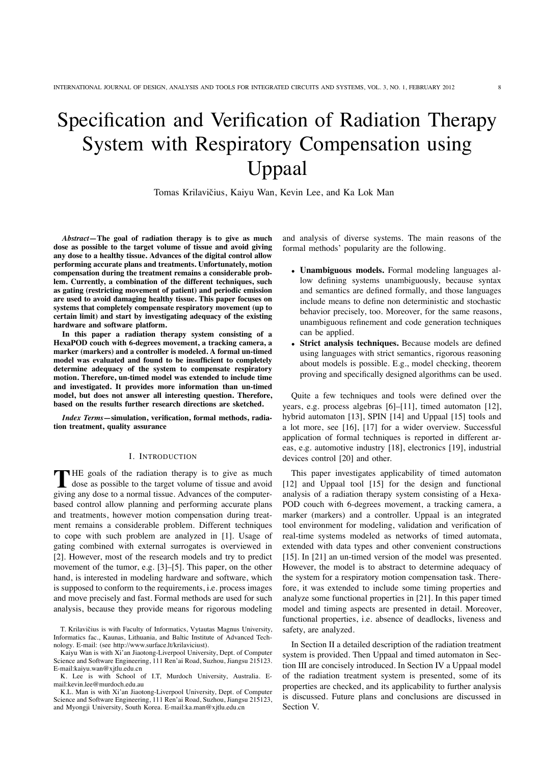# Specification and Verification of Radiation Therapy System with Respiratory Compensation using Uppaal

Tomas Krilavičius, Kaiyu Wan, Kevin Lee, and Ka Lok Man

*Abstract***—The goal of radiation therapy is to give as much dose as possible to the target volume of tissue and avoid giving any dose to a healthy tissue. Advances of the digital control allow performing accurate plans and treatments. Unfortunately, motion compensation during the treatment remains a considerable problem. Currently, a combination of the different techniques, such as gating (restricting movement of patient) and periodic emission are used to avoid damaging healthy tissue. This paper focuses on systems that completely compensate respiratory movement (up to certain limit) and start by investigating adequacy of the existing hardware and software platform.**

**In this paper a radiation therapy system consisting of a HexaPOD couch with 6-degrees movement, a tracking camera, a marker (markers) and a controller is modeled. A formal un-timed model was evaluated and found to be insufficient to completely determine adequacy of the system to compensate respiratory motion. Therefore, un-timed model was extended to include time and investigated. It provides more information than un-timed model, but does not answer all interesting question. Therefore, based on the results further research directions are sketched.**

*Index Terms***—simulation, verification, formal methods, radiation treatment, quality assurance**

### I. INTRODUCTION

THE goals of the radiation therapy is to give as much dose as possible to the target volume of tissue and avoid giving any dose to a normal tissue. Advances of the computerbased control allow planning and performing accurate plans and treatments, however motion compensation during treatment remains a considerable problem. Different techniques to cope with such problem are analyzed in [1]. Usage of gating combined with external surrogates is overviewed in [2]. However, most of the research models and try to predict movement of the tumor, e.g. [3]–[5]. This paper, on the other hand, is interested in modeling hardware and software, which is supposed to conform to the requirements, i.e. process images and move precisely and fast. Formal methods are used for such analysis, because they provide means for rigorous modeling and analysis of diverse systems. The main reasons of the formal methods' popularity are the following.

- **Unambiguous models.** Formal modeling languages allow defining systems unambiguously, because syntax and semantics are defined formally, and those languages include means to define non deterministic and stochastic behavior precisely, too. Moreover, for the same reasons, unambiguous refinement and code generation techniques can be applied.
- **Strict analysis techniques.** Because models are defined using languages with strict semantics, rigorous reasoning about models is possible. E.g., model checking, theorem proving and specifically designed algorithms can be used.

Quite a few techniques and tools were defined over the years, e.g. process algebras [6]–[11], timed automaton [12], hybrid automaton [13], SPIN [14] and Uppaal [15] tools and a lot more, see [16], [17] for a wider overview. Successful application of formal techniques is reported in different areas, e.g. automotive industry [18], electronics [19], industrial devices control [20] and other.

This paper investigates applicability of timed automaton [12] and Uppaal tool [15] for the design and functional analysis of a radiation therapy system consisting of a Hexa-POD couch with 6-degrees movement, a tracking camera, a marker (markers) and a controller. Uppaal is an integrated tool environment for modeling, validation and verification of real-time systems modeled as networks of timed automata, extended with data types and other convenient constructions [15]. In [21] an un-timed version of the model was presented. However, the model is to abstract to determine adequacy of the system for a respiratory motion compensation task. Therefore, it was extended to include some timing properties and analyze some functional properties in [21]. In this paper timed model and timing aspects are presented in detail. Moreover, functional properties, i.e. absence of deadlocks, liveness and safety, are analyzed.

In Section II a detailed description of the radiation treatment system is provided. Then Uppaal and timed automaton in Section III are concisely introduced. In Section IV a Uppaal model of the radiation treatment system is presented, some of its properties are checked, and its applicability to further analysis is discussed. Future plans and conclusions are discussed in Section V.

T. Krilavičius is with Faculty of Informatics, Vytautas Magnus University, Informatics fac., Kaunas, Lithuania, and Baltic Institute of Advanced Technology. E-mail: (see http://www.surface.lt/krilaviciust).

Kaiyu Wan is with Xi'an Jiaotong-Liverpool University, Dept. of Computer Science and Software Engineering, 111 Ren'ai Road, Suzhou, Jiangsu 215123. E-mail:kaiyu.wan@xjtlu.edu.cn

K. Lee is with School of I.T, Murdoch University, Australia. Email:kevin.lee@murdoch.edu.au

K.L. Man is with Xi'an Jiaotong-Liverpool University, Dept. of Computer Science and Software Engineering, 111 Ren'ai Road, Suzhou, Jiangsu 215123, and Myongji University, South Korea. E-mail:ka.man@xjtlu.edu.cn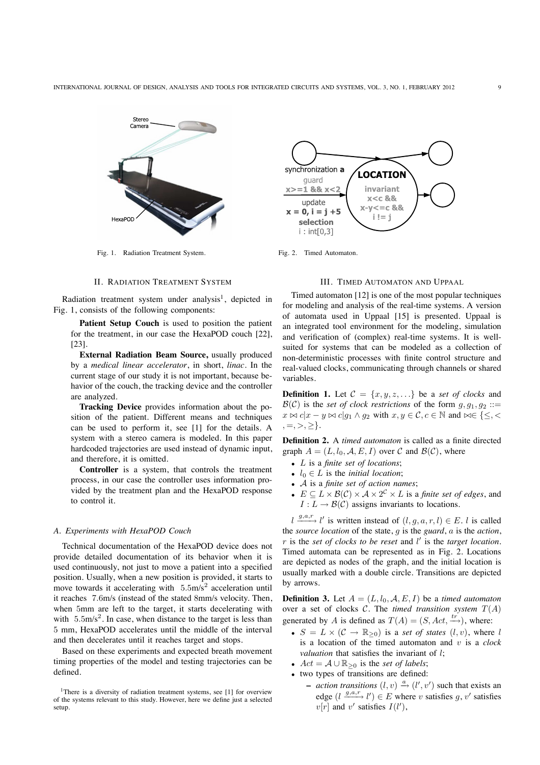

Fig. 1. Radiation Treatment System. Fig. 2. Timed Automaton.

#### II. RADIATION TREATMENT SYSTEM

Radiation treatment system under analysis<sup>1</sup>, depicted in Fig. 1, consists of the following components:

**Patient Setup Couch** is used to position the patient for the treatment, in our case the HexaPOD couch [22], [23].

**External Radiation Beam Source,** usually produced by a *medical linear accelerator*, in short, *linac*. In the current stage of our study it is not important, because behavior of the couch, the tracking device and the controller are analyzed.

**Tracking Device** provides information about the position of the patient. Different means and techniques can be used to perform it, see [1] for the details. A system with a stereo camera is modeled. In this paper hardcoded trajectories are used instead of dynamic input, and therefore, it is omitted.

**Controller** is a system, that controls the treatment process, in our case the controller uses information provided by the treatment plan and the HexaPOD response to control it.

## *A. Experiments with HexaPOD Couch*

Technical documentation of the HexaPOD device does not provide detailed documentation of its behavior when it is used continuously, not just to move a patient into a specified position. Usually, when a new position is provided, it starts to move towards it accelerating with  $5.5 \text{m/s}^2$  acceleration until it reaches 7.6m/s (instead of the stated 8mm/s velocity. Then, when 5mm are left to the target, it starts decelerating with with  $5.5 \text{m/s}^2$ . In case, when distance to the target is less than 5 mm, HexaPOD accelerates until the middle of the interval and then decelerates until it reaches target and stops.

Based on these experiments and expected breath movement timing properties of the model and testing trajectories can be defined.



#### III. TIMED AUTOMATON AND UPPAAL

Timed automaton [12] is one of the most popular techniques for modeling and analysis of the real-time systems. A version of automata used in Uppaal [15] is presented. Uppaal is an integrated tool environment for the modeling, simulation and verification of (complex) real-time systems. It is wellsuited for systems that can be modeled as a collection of non-deterministic processes with finite control structure and real-valued clocks, communicating through channels or shared variables.

**Definition 1.** Let  $C = \{x, y, z, \ldots\}$  be a *set of clocks* and  $\mathcal{B}(\mathcal{C})$  is the *set of clock restrictions* of the form  $g, g_1, g_2 ::=$  $x \bowtie c | x - y \bowtie c | q_1 \land q_2 \text{ with } x, y \in \mathcal{C}, c \in \mathbb{N} \text{ and } \bowtie \in \{ \leq, \leq \}$  $, =, >, \geq \}.$ 

**Definition 2.** A *timed automaton* is called as a finite directed graph  $A = (L, l_0, A, E, I)$  over C and  $\mathcal{B}(\mathcal{C})$ , where

- L is a *finite set of locations*;
- $l_0 \in L$  is the *initial location*;
- A is a *finite set of action names*;
- $E \subseteq L \times \mathcal{B}(\mathcal{C}) \times \mathcal{A} \times 2^{\mathcal{C}} \times L$  is a *finite set of edges*, and  $I: L \to \mathcal{B}(\mathcal{C})$  assigns invariants to locations.

 $l \stackrel{g,a,r}{\longrightarrow} l'$  is written instead of  $(l, g, a, r, l) \in E$ . l is called the *source location* of the state, g is the *guard*, a is the *action*, r is the *set of clocks to be reset* and l ! is the *target location*. Timed automata can be represented as in Fig. 2. Locations are depicted as nodes of the graph, and the initial location is usually marked with a double circle. Transitions are depicted by arrows.

**Definition 3.** Let  $A = (L, l_0, A, E, I)$  be a *timed automaton* over a set of clocks  $C$ . The *timed transition system*  $T(A)$ generated by A is defined as  $T(A) = (S, Act, \stackrel{tr}{\longrightarrow})$ , where:

- $S = L \times (C \rightarrow \mathbb{R}_{\geq 0})$  is a *set of states*  $(l, v)$ , where l is a location of the timed automaton and v is a *clock valuation* that satisfies the invariant of l:
- $Act = A \cup \mathbb{R}_{\geq 0}$  is the *set of labels*;
- two types of transitions are defined:
	- **−** *action transitions*  $(l, v) \stackrel{a}{\rightarrow} (l', v')$  such that exists an edge  $(l \xrightarrow{g,a,r} l') \in E$  where v satisfies g, v' satisfies  $v[r]$  and  $v'$  satisfies  $I(l'),$

<sup>&</sup>lt;sup>1</sup>There is a diversity of radiation treatment systems, see [1] for overview of the systems relevant to this study. However, here we define just a selected setup.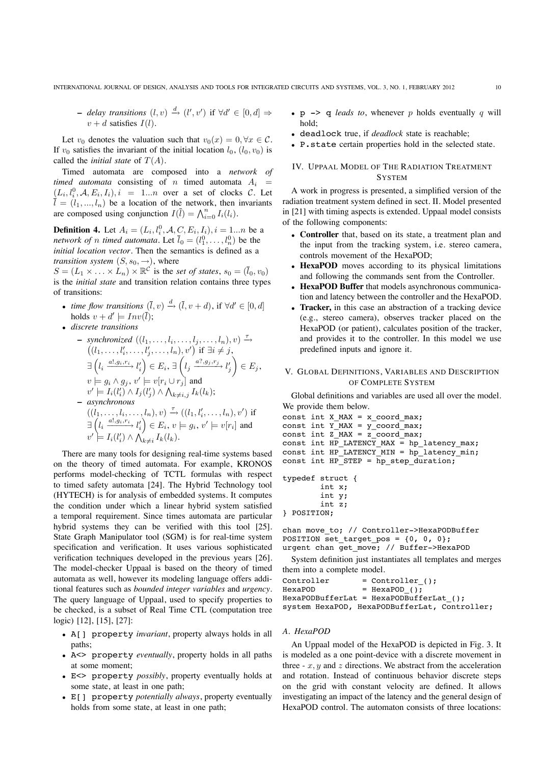**−** *delay transitions*  $(l, v) \stackrel{d}{\rightarrow} (l', v')$  if  $\forall d' \in [0, d] \Rightarrow$  $v + d$  satisfies  $I(l)$ .

Let  $v_0$  denotes the valuation such that  $v_0(x)=0, \forall x \in C$ . If  $v_0$  satisfies the invariant of the initial location  $l_0$ ,  $(l_0, v_0)$  is called the *initial state* of  $T(A)$ .

Timed automata are composed into a *network of timed automata* consisting of *n* timed automata  $A_i$  =  $(L_i, l_i^0, \mathcal{A}, E_i, I_i), i = 1...n$  over a set of clocks C. Let  $\overline{l} = (l_1, ..., l_n)$  be a location of the network, then invariants are composed using conjunction  $I(\overline{l}) = \bigwedge_{i=0}^{n} I_i(l_i)$ .

**Definition 4.** Let  $A_i = (L_i, l_i^0, A, C, E_i, I_i), i = 1...n$  be a *network of n timed automata.* Let  $\bar{l}_0 = (l_1^0, \ldots, l_n^0)$  be the *initial location vector*. Then the semantics is defined as a *transition system*  $(S, s_0, \rightarrow)$ , where

 $S = (L_1 \times \ldots \times L_n) \times \mathbb{R}^c$  is the *set of states*,  $s_0 = (\bar{l}_0, v_0)$ is the *initial state* and transition relation contains three types of transitions:

- *time flow transitions*  $(\overline{l}, v) \xrightarrow{d} (\overline{l}, v + d)$ , if  $\forall d' \in [0, d]$ holds  $v + d' \models Inv(\overline{l})$ ;
- *discrete transitions*

$$
- \text{ synchronized } ((l_1, \ldots, l_i, \ldots, l_j, \ldots, l_n), v) \xrightarrow{\tau} ((l_1, \ldots, l'_i, \ldots, l'_j, \ldots, l_n), v') \text{ if } \exists i \neq j, \n\exists \left( l_i \xrightarrow{a! g_i, r_i} l'_i \right) \in E_i, \exists \left( l_j \xrightarrow{a? g_j, r_j} l'_j \right) \in E_j, \nv \models g_i \land g_j, v' \models v[r_i \cup r_j] \text{ and } \nv' \models I_i(l'_i) \land I_j(l'_j) \land \bigwedge_{k \neq i, j} I_k(l_k); \n- \text{ asynchronous} ((l_1, \ldots, l_i, \ldots, l_n), v) \xrightarrow{\tau} ((l_1, l'_i, \ldots, l_n), v') \text{ if } \n\exists \left( l_i \xrightarrow{a! g_i, r_i} l'_i \right) \in E_i, v \models g_i, v' \models v[r_i] \text{ and } \nv' \models I_i(l'_i) \land \bigwedge_{k \neq i} I_k(l_k).
$$

There are many tools for designing real-time systems based on the theory of timed automata. For example, KRONOS performs model-checking of TCTL formulas with respect to timed safety automata [24]. The Hybrid Technology tool (HYTECH) is for analysis of embedded systems. It computes the condition under which a linear hybrid system satisfied a temporal requirement. Since times automata are particular hybrid systems they can be verified with this tool [25]. State Graph Manipulator tool (SGM) is for real-time system specification and verification. It uses various sophisticated verification techniques developed in the previous years [26]. The model-checker Uppaal is based on the theory of timed automata as well, however its modeling language offers additional features such as *bounded integer variables* and *urgency*. The query language of Uppaal, used to specify properties to be checked, is a subset of Real Time CTL (computation tree logic) [12], [15], [27]:

- A[] property *invariant*, property always holds in all paths;
- A<> property *eventually*, property holds in all paths at some moment;
- E<> property *possibly*, property eventually holds at some state, at least in one path;
- E[] property *potentially always*, property eventually holds from some state, at least in one path;
- $p \rightarrow q$  *leads to*, whenever p holds eventually q will hold;
- deadlock true, if *deadlock* state is reachable;
- P.state certain properties hold in the selected state.

# IV. UPPAAL MODEL OF THE RADIATION TREATMENT **SYSTEM**

A work in progress is presented, a simplified version of the radiation treatment system defined in sect. II. Model presented in [21] with timing aspects is extended. Uppaal model consists of the following components:

- **Controller** that, based on its state, a treatment plan and the input from the tracking system, i.e. stereo camera, controls movement of the HexaPOD;
- **HexaPOD** moves according to its physical limitations and following the commands sent from the Controller.
- **HexaPOD Buffer** that models asynchronous communication and latency between the controller and the HexaPOD.
- **Tracker,** in this case an abstraction of a tracking device (e.g., stereo camera), observes tracker placed on the HexaPOD (or patient), calculates position of the tracker, and provides it to the controller. In this model we use predefined inputs and ignore it.

## V. GLOBAL DEFINITIONS, VARIABLES AND DESCRIPTION OF COMPLETE SYSTEM

Global definitions and variables are used all over the model. We provide them below.

```
const int X MAX = x coord max;
const int \overline{Y} MAX = \overline{Y} coord_max;
const int Z_MAX = z\coord_max;
const int HP_LATENCY_MAX = hp_latency_max;
const int HP<sup>LATENCY</sub><sup>MIN</sup> = hp latency<sup>min</sup>;</sup>
const int HP_STEP = hp_step_duration;
```

```
typedef struct {
        int x;
        int y;
        int z;
} POSITION;
```
chan move to; // Controller->HexaPODBuffer POSITION set\_target\_pos =  $\{0, 0, 0\}$ ; urgent chan get\_move; // Buffer->HexaPOD

System definition just instantiates all templates and merges them into a complete model.

```
Controller = \text{Controller}(\cdot);<br>HexaPOD = HexaPOD ():
                    = HexaPOD();
HexaPODBufferLat = HexaPODBufferLat_();
system HexaPOD, HexaPODBufferLat, Controller;
```
## *A. HexaPOD*

An Uppaal model of the HexaPOD is depicted in Fig. 3. It is modeled as a one point-device with a discrete movement in three  $- x, y$  and z directions. We abstract from the acceleration and rotation. Instead of continuous behavior discrete steps on the grid with constant velocity are defined. It allows investigating an impact of the latency and the general design of HexaPOD control. The automaton consists of three locations: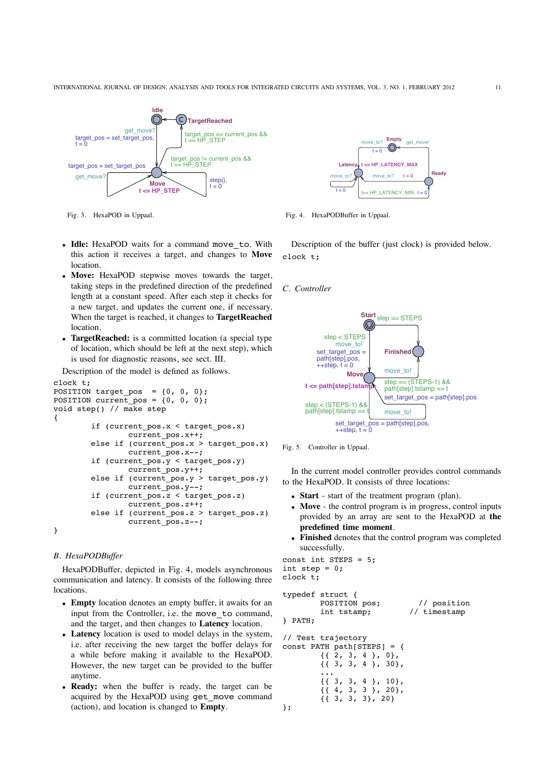

Fig. 3. HexaPOD in Uppaal.

- **Idle:** HexaPOD waits for a command move\_to. With this action it receives a target, and changes to **Move location**
- **Move:** HexaPOD stepwise moves towards the target, taking steps in the predefined direction of the predefined length at a constant speed. After each step it checks for a new target, and updates the current one, if necessary. When the target is reached, it changes to **TargetReached** location.
- **TargetReached:** is a committed location (a special type of location, which should be left at the next step), which is used for diagnostic reasons, see sect. III.

Description of the model is defined as follows.

```
clock t;
POSITION target_pos = \{0, 0, 0\};
POSITION current pos = \{0, 0, 0\};
void step() // make step
{
        if (current_pos.x < target_pos.x)
                current pos.x++;
        else if (current pos.x > target pos.x)
                current_pos.x--;
        if (current_pos.y < target_pos.y)
                current_pos.y++;
        else if (current_pos.y > target_pos.y)
                current pos.y--;
        if (current_pos.z < target_pos.z)
                current pos.z++;
        else if (current_pos.z > target_pos.z)
                current_pos.z--;
```
}

# *B. HexaPODBuffer*

HexaPODBuffer, depicted in Fig. 4, models asynchronous communication and latency. It consists of the following three locations.

- **Empty** location denotes an empty buffer, it awaits for an input from the Controller, i.e. the move to command, and the target, and then changes to **Latency** location.
- **Latency** location is used to model delays in the system, i.e. after receiving the new target the buffer delays for a while before making it available to the HexaPOD. However, the new target can be provided to the buffer anytime.
- **Ready:** when the buffer is ready, the target can be acquired by the HexaPOD using get\_move command (action), and location is changed to **Empty**.



Fig. 4. HexaPODBuffer in Uppaal.

Description of the buffer (just clock) is provided below. clock t;

## *C. Controller*





In the current model controller provides control commands to the HexaPOD. It consists of three locations:

- **Start** start of the treatment program (plan).
- **Move** the control program is in progress, control inputs provided by an array are sent to the HexaPOD at **the predefined time moment**.
- **Finished** denotes that the control program was completed successfully.

```
const int STEPS = 5;
int step = 0;
clock t;
```

```
typedef struct {
       POSITION pos; // position
       int tstamp; // timestamp
} PATH;
// Test trajectory
const PATH path[STEPS] = {
       {{ 2, 3, 4 }, 0},
        \{ \{ 3, 3, 4 \}, 30},
        ...
        {{ 3, 3, 4 }, 10},
        {{ 4, 3, 3 }, 20},
        {{ 3, 3, 3}, 20}
};
```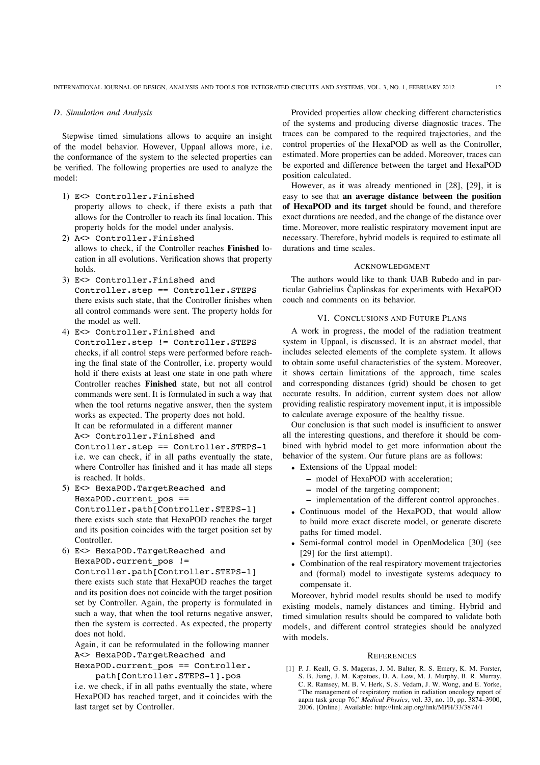### *D. Simulation and Analysis*

Stepwise timed simulations allows to acquire an insight of the model behavior. However, Uppaal allows more, i.e. the conformance of the system to the selected properties can be verified. The following properties are used to analyze the model:

- 1) E<> Controller.Finished property allows to check, if there exists a path that allows for the Controller to reach its final location. This property holds for the model under analysis.
- 2) A<> Controller.Finished allows to check, if the Controller reaches **Finished** location in all evolutions. Verification shows that property holds.
- 3) E<> Controller.Finished and Controller.step == Controller.STEPS there exists such state, that the Controller finishes when all control commands were sent. The property holds for the model as well.
- 4) E<> Controller.Finished and Controller.step != Controller.STEPS checks, if all control steps were performed before reaching the final state of the Controller, i.e. property would hold if there exists at least one state in one path where Controller reaches **Finished** state, but not all control commands were sent. It is formulated in such a way that when the tool returns negative answer, then the system works as expected. The property does not hold. It can be reformulated in a different manner A<> Controller.Finished and

Controller.step == Controller.STEPS-1

i.e. we can check, if in all paths eventually the state, where Controller has finished and it has made all steps is reached. It holds.

- 5) E<> HexaPOD.TargetReached and HexaPOD.current\_pos == Controller.path[Controller.STEPS-1] there exists such state that HexaPOD reaches the target and its position coincides with the target position set by Controller.
- 6) E<> HexaPOD.TargetReached and HexaPOD.current pos !=

Controller.path[Controller.STEPS-1] there exists such state that HexaPOD reaches the target and its position does not coincide with the target position set by Controller. Again, the property is formulated in such a way, that when the tool returns negative answer, then the system is corrected. As expected, the property does not hold.

Again, it can be reformulated in the following manner A<> HexaPOD.TargetReached and

HexaPOD.current\_pos == Controller. path[Controller.STEPS-1].pos

i.e. we check, if in all paths eventually the state, where HexaPOD has reached target, and it coincides with the last target set by Controller.

Provided properties allow checking different characteristics of the systems and producing diverse diagnostic traces. The traces can be compared to the required trajectories, and the control properties of the HexaPOD as well as the Controller, estimated. More properties can be added. Moreover, traces can be exported and difference between the target and HexaPOD position calculated.

However, as it was already mentioned in [28], [29], it is easy to see that **an average distance between the position of HexaPOD and its target** should be found, and therefore exact durations are needed, and the change of the distance over time. Moreover, more realistic respiratory movement input are necessary. Therefore, hybrid models is required to estimate all durations and time scales.

#### ACKNOWLEDGMENT

The authors would like to thank UAB Rubedo and in particular Gabrielius Čaplinskas for experiments with HexaPOD couch and comments on its behavior.

#### VI. CONCLUSIONS AND FUTURE PLANS

A work in progress, the model of the radiation treatment system in Uppaal, is discussed. It is an abstract model, that includes selected elements of the complete system. It allows to obtain some useful characteristics of the system. Moreover, it shows certain limitations of the approach, time scales and corresponding distances (grid) should be chosen to get accurate results. In addition, current system does not allow providing realistic respiratory movement input, it is impossible to calculate average exposure of the healthy tissue.

Our conclusion is that such model is insufficient to answer all the interesting questions, and therefore it should be combined with hybrid model to get more information about the behavior of the system. Our future plans are as follows:

- Extensions of the Uppaal model:
	- **–** model of HexaPOD with acceleration;
	- **–** model of the targeting component;
	- **–** implementation of the different control approaches.
- Continuous model of the HexaPOD, that would allow to build more exact discrete model, or generate discrete paths for timed model.
- Semi-formal control model in OpenModelica [30] (see [29] for the first attempt).
- Combination of the real respiratory movement trajectories and (formal) model to investigate systems adequacy to compensate it.

Moreover, hybrid model results should be used to modify existing models, namely distances and timing. Hybrid and timed simulation results should be compared to validate both models, and different control strategies should be analyzed with models.

#### **REFERENCES**

[1] P. J. Keall, G. S. Mageras, J. M. Balter, R. S. Emery, K. M. Forster, S. B. Jiang, J. M. Kapatoes, D. A. Low, M. J. Murphy, B. R. Murray, C. R. Ramsey, M. B. V. Herk, S. S. Vedam, J. W. Wong, and E. Yorke, "The management of respiratory motion in radiation oncology report of aapm task group 76," *Medical Physics*, vol. 33, no. 10, pp. 3874–3900, 2006. [Online]. Available: http://link.aip.org/link/MPH/33/3874/1